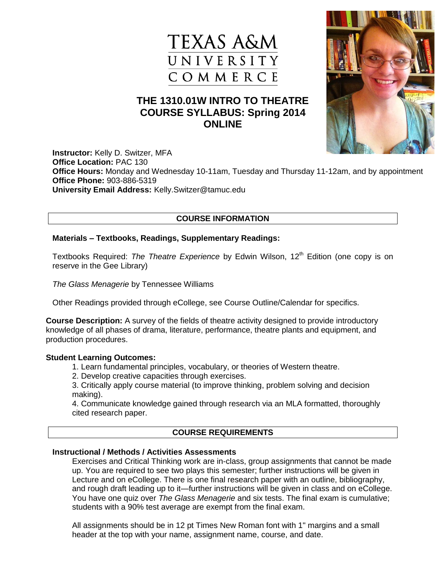



# **THE 1310.01W INTRO TO THEATRE COURSE SYLLABUS: Spring 2014 ONLINE**

**Instructor:** Kelly D. Switzer, MFA **Office Location:** PAC 130 **Office Hours:** Monday and Wednesday 10-11am, Tuesday and Thursday 11-12am, and by appointment **Office Phone:** [903-886-5319](tel:903-886-5319) **University Email Address:** Kelly.Switzer@tamuc.edu

# **COURSE INFORMATION**

#### **Materials – Textbooks, Readings, Supplementary Readings:**

Textbooks Required: *The Theatre Experience* by Edwin Wilson, 12<sup>th</sup> Edition (one copy is on reserve in the Gee Library)

*The Glass Menagerie* by Tennessee Williams

Other Readings provided through eCollege, see Course Outline/Calendar for specifics.

**Course Description:** A survey of the fields of theatre activity designed to provide introductory knowledge of all phases of drama, literature, performance, theatre plants and equipment, and production procedures.

#### **Student Learning Outcomes:**

- 1. Learn fundamental principles, vocabulary, or theories of Western theatre.
- 2. Develop creative capacities through exercises.

3. Critically apply course material (to improve thinking, problem solving and decision making).

4. Communicate knowledge gained through research via an MLA formatted, thoroughly cited research paper.

## **COURSE REQUIREMENTS**

## **Instructional / Methods / Activities Assessments**

Exercises and Critical Thinking work are in-class, group assignments that cannot be made up. You are required to see two plays this semester; further instructions will be given in Lecture and on eCollege. There is one final research paper with an outline, bibliography, and rough draft leading up to it—further instructions will be given in class and on eCollege. You have one quiz over *The Glass Menagerie* and six tests. The final exam is cumulative; students with a 90% test average are exempt from the final exam.

All assignments should be in 12 pt Times New Roman font with 1" margins and a small header at the top with your name, assignment name, course, and date.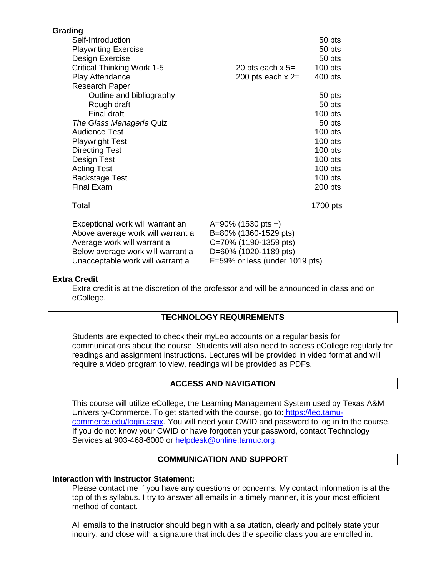| Grading                           |                                 |
|-----------------------------------|---------------------------------|
| Self-Introduction                 | 50 pts                          |
| <b>Playwriting Exercise</b>       | 50 pts                          |
| Design Exercise                   | 50 pts                          |
| <b>Critical Thinking Work 1-5</b> | $100$ pts<br>20 pts each $x$ 5= |
| Play Attendance                   | 200 pts each $x =$<br>400 pts   |
| <b>Research Paper</b>             |                                 |
| Outline and bibliography          | 50 pts                          |
| Rough draft                       | 50 pts                          |
| Final draft                       | $100$ pts                       |
| The Glass Menagerie Quiz          | 50 pts                          |
| <b>Audience Test</b>              | $100$ pts                       |
| <b>Playwright Test</b>            | $100$ pts                       |
| <b>Directing Test</b>             | $100$ pts                       |
| Design Test                       | $100$ pts                       |
| <b>Acting Test</b>                | $100$ pts                       |
| <b>Backstage Test</b>             | $100$ pts                       |
| <b>Final Exam</b>                 | 200 pts                         |
| Total                             | 1700 pts                        |
| Exceptional work will warrant an  | $A=90\%$ (1530 pts +)           |
| Above average work will warrant a | B=80% (1360-1529 pts)           |
| Average work will warrant a       | C=70% (1190-1359 pts)           |
| Below average work will warrant a | D=60% (1020-1189 pts)           |
| Unacceptable work will warrant a  | F=59% or less (under 1019 pts)  |

#### **Extra Credit**

Extra credit is at the discretion of the professor and will be announced in class and on eCollege.

#### **TECHNOLOGY REQUIREMENTS**

Students are expected to check their myLeo accounts on a regular basis for communications about the course. Students will also need to access eCollege regularly for readings and assignment instructions. Lectures will be provided in video format and will require a video program to view, readings will be provided as PDFs.

#### **ACCESS AND NAVIGATION**

This course will utilize eCollege, the Learning Management System used by Texas A&M University-Commerce. To get started with the course, go to: [https://leo.tamu](https://leo.tamu-commerce.edu/login.aspx)[commerce.edu/login.aspx.](https://leo.tamu-commerce.edu/login.aspx) You will need your CWID and password to log in to the course. If you do not know your CWID or have forgotten your password, contact Technology Services at 903-468-6000 or [helpdesk@online.tamuc.org.](mailto:helpdesk@online.tamuc.org)

#### **COMMUNICATION AND SUPPORT**

#### **Interaction with Instructor Statement:**

Please contact me if you have any questions or concerns. My contact information is at the top of this syllabus. I try to answer all emails in a timely manner, it is your most efficient method of contact.

All emails to the instructor should begin with a salutation, clearly and politely state your inquiry, and close with a signature that includes the specific class you are enrolled in.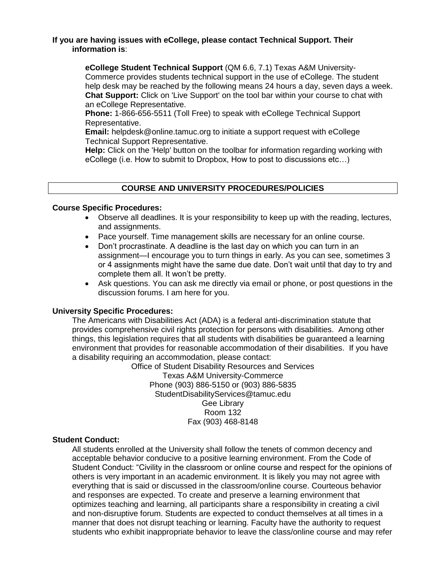#### **If you are having issues with eCollege, please contact Technical Support. Their information is**:

**eCollege Student Technical Support** (QM 6.6, 7.1) Texas A&M University-Commerce provides students technical support in the use of eCollege. The student help desk may be reached by the following means 24 hours a day, seven days a week. **Chat Support:** Click on 'Live Support' on the tool bar within your course to chat with an eCollege Representative.

**Phone:** 1-866-656-5511 (Toll Free) to speak with eCollege Technical Support Representative.

**Email:** helpdesk@online.tamuc.org to initiate a support request with eCollege Technical Support Representative.

**Help:** Click on the 'Help' button on the toolbar for information regarding working with eCollege (i.e. How to submit to Dropbox, How to post to discussions etc…)

## **COURSE AND UNIVERSITY PROCEDURES/POLICIES**

#### **Course Specific Procedures:**

- Observe all deadlines. It is your responsibility to keep up with the reading, lectures, and assignments.
- Pace yourself. Time management skills are necessary for an online course.
- Don't procrastinate. A deadline is the last day on which you can turn in an assignment—I encourage you to turn things in early. As you can see, sometimes 3 or 4 assignments might have the same due date. Don't wait until that day to try and complete them all. It won't be pretty.
- Ask questions. You can ask me directly via email or phone, or post questions in the discussion forums. I am here for you.

#### **University Specific Procedures:**

The Americans with Disabilities Act (ADA) is a federal anti-discrimination statute that provides comprehensive civil rights protection for persons with disabilities. Among other things, this legislation requires that all students with disabilities be guaranteed a learning environment that provides for reasonable accommodation of their disabilities. If you have a disability requiring an accommodation, please contact:

Office of Student Disability Resources and Services Texas A&M University-Commerce Phone (903) 886-5150 or (903) 886-5835 StudentDisabilityServices@tamuc.edu Gee Library Room 132 Fax (903) 468-8148

#### **Student Conduct:**

All students enrolled at the University shall follow the tenets of common decency and acceptable behavior conducive to a positive learning environment. From the Code of Student Conduct: "Civility in the classroom or online course and respect for the opinions of others is very important in an academic environment. It is likely you may not agree with everything that is said or discussed in the classroom/online course. Courteous behavior and responses are expected. To create and preserve a learning environment that optimizes teaching and learning, all participants share a responsibility in creating a civil and non-disruptive forum. Students are expected to conduct themselves at all times in a manner that does not disrupt teaching or learning. Faculty have the authority to request students who exhibit inappropriate behavior to leave the class/online course and may refer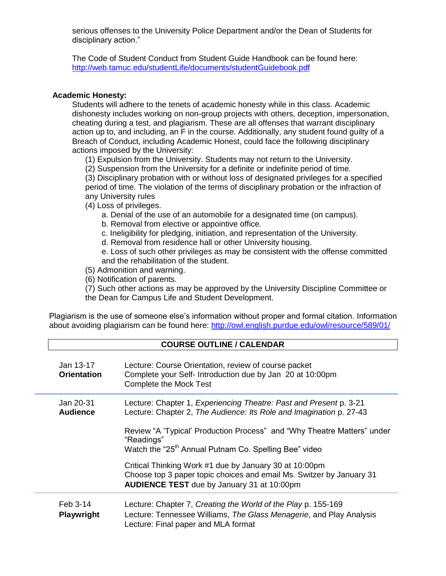serious offenses to the University Police Department and/or the Dean of Students for disciplinary action."

The Code of Student Conduct from Student Guide Handbook can be found here: <http://web.tamuc.edu/studentLife/documents/studentGuidebook.pdf>

#### **Academic Honesty:**

Students will adhere to the tenets of academic honesty while in this class. Academic dishonesty includes working on non-group projects with others, deception, impersonation, cheating during a test, and plagiarism. These are all offenses that warrant disciplinary action up to, and including, an F in the course. Additionally, any student found guilty of a Breach of Conduct, including Academic Honest, could face the following disciplinary actions imposed by the University:

- (1) Expulsion from the University. Students may not return to the University.
- (2) Suspension from the University for a definite or indefinite period of time.

(3) Disciplinary probation with or without loss of designated privileges for a specified period of time. The violation of the terms of disciplinary probation or the infraction of any University rules

- (4) Loss of privileges.
	- a. Denial of the use of an automobile for a designated time (on campus).
	- b. Removal from elective or appointive office.
	- c. Ineligibility for pledging, initiation, and representation of the University.
	- d. Removal from residence hall or other University housing.

e. Loss of such other privileges as may be consistent with the offense committed and the rehabilitation of the student.

- (5) Admonition and warning.
- (6) Notification of parents.

(7) Such other actions as may be approved by the University Discipline Committee or the Dean for Campus Life and Student Development.

Plagiarism is the use of someone else's information without proper and formal citation. Information about avoiding plagiarism can be found here:<http://owl.english.purdue.edu/owl/resource/589/01/>

#### **COURSE OUTLINE / CALENDAR**

| Jan 13-17<br><b>Orientation</b> | Lecture: Course Orientation, review of course packet<br>Complete your Self- Introduction due by Jan 20 at 10:00pm<br>Complete the Mock Test                                                                                        |
|---------------------------------|------------------------------------------------------------------------------------------------------------------------------------------------------------------------------------------------------------------------------------|
| Jan 20-31<br><b>Audience</b>    | Lecture: Chapter 1, Experiencing Theatre: Past and Present p. 3-21<br>Lecture: Chapter 2, The Audience: Its Role and Imagination p. 27-43<br>Review "A 'Typical' Production Process" and "Why Theatre Matters" under<br>"Readings" |
|                                 | Watch the "25 <sup>th</sup> Annual Putnam Co. Spelling Bee" video<br>Critical Thinking Work #1 due by January 30 at 10:00pm                                                                                                        |
|                                 | Choose top 3 paper topic choices and email Ms. Switzer by January 31<br><b>AUDIENCE TEST</b> due by January 31 at 10:00pm                                                                                                          |
| Feb 3-14<br><b>Playwright</b>   | Lecture: Chapter 7, Creating the World of the Play p. 155-169<br>Lecture: Tennessee Williams, The Glass Menagerie, and Play Analysis<br>Lecture: Final paper and MLA format                                                        |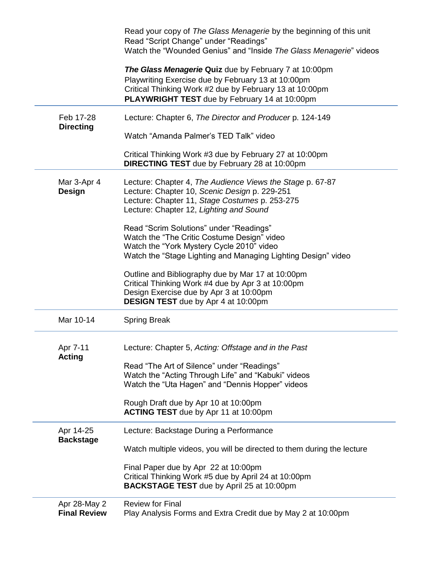|                               | Read your copy of The Glass Menagerie by the beginning of this unit<br>Read "Script Change" under "Readings"<br>Watch the "Wounded Genius" and "Inside The Glass Menagerie" videos                                             |
|-------------------------------|--------------------------------------------------------------------------------------------------------------------------------------------------------------------------------------------------------------------------------|
|                               | The Glass Menagerie Quiz due by February 7 at 10:00pm<br>Playwriting Exercise due by February 13 at 10:00pm<br>Critical Thinking Work #2 due by February 13 at 10:00pm<br><b>PLAYWRIGHT TEST</b> due by February 14 at 10:00pm |
| Feb 17-28<br><b>Directing</b> | Lecture: Chapter 6, The Director and Producer p. 124-149                                                                                                                                                                       |
|                               | Watch "Amanda Palmer's TED Talk" video                                                                                                                                                                                         |
|                               | Critical Thinking Work #3 due by February 27 at 10:00pm<br><b>DIRECTING TEST</b> due by February 28 at 10:00pm                                                                                                                 |
| Mar 3-Apr 4                   | Lecture: Chapter 4, The Audience Views the Stage p. 67-87                                                                                                                                                                      |
| <b>Design</b>                 | Lecture: Chapter 10, Scenic Design p. 229-251                                                                                                                                                                                  |
|                               | Lecture: Chapter 11, Stage Costumes p. 253-275<br>Lecture: Chapter 12, Lighting and Sound                                                                                                                                      |
|                               |                                                                                                                                                                                                                                |
|                               | Read "Scrim Solutions" under "Readings"                                                                                                                                                                                        |
|                               | Watch the "The Critic Costume Design" video                                                                                                                                                                                    |
|                               | Watch the "York Mystery Cycle 2010" video<br>Watch the "Stage Lighting and Managing Lighting Design" video                                                                                                                     |
|                               |                                                                                                                                                                                                                                |
|                               | Outline and Bibliography due by Mar 17 at 10:00pm                                                                                                                                                                              |
|                               | Critical Thinking Work #4 due by Apr 3 at 10:00pm                                                                                                                                                                              |
|                               | Design Exercise due by Apr 3 at 10:00pm                                                                                                                                                                                        |
|                               | <b>DESIGN TEST</b> due by Apr 4 at 10:00pm                                                                                                                                                                                     |
| Mar 10-14                     | <b>Spring Break</b>                                                                                                                                                                                                            |
| Apr 7-11<br><b>Acting</b>     | Lecture: Chapter 5, Acting: Offstage and in the Past                                                                                                                                                                           |
|                               | Read "The Art of Silence" under "Readings"                                                                                                                                                                                     |
|                               | Watch the "Acting Through Life" and "Kabuki" videos                                                                                                                                                                            |
|                               | Watch the "Uta Hagen" and "Dennis Hopper" videos                                                                                                                                                                               |
|                               | Rough Draft due by Apr 10 at 10:00pm                                                                                                                                                                                           |
|                               | ACTING TEST due by Apr 11 at 10:00pm                                                                                                                                                                                           |
| Apr 14-25<br><b>Backstage</b> | Lecture: Backstage During a Performance                                                                                                                                                                                        |
|                               | Watch multiple videos, you will be directed to them during the lecture                                                                                                                                                         |
|                               | Final Paper due by Apr 22 at 10:00pm                                                                                                                                                                                           |
|                               | Critical Thinking Work #5 due by April 24 at 10:00pm                                                                                                                                                                           |
|                               | <b>BACKSTAGE TEST</b> due by April 25 at 10:00pm                                                                                                                                                                               |
| Apr 28-May 2                  | <b>Review for Final</b>                                                                                                                                                                                                        |
| <b>Final Review</b>           | Play Analysis Forms and Extra Credit due by May 2 at 10:00pm                                                                                                                                                                   |
|                               |                                                                                                                                                                                                                                |